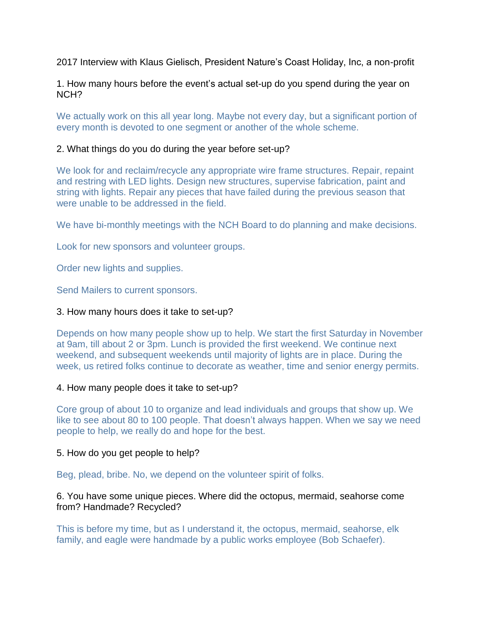2017 Interview with Klaus Gielisch, President Nature's Coast Holiday, Inc, a non-profit

1. How many hours before the event's actual set-up do you spend during the year on NCH?

We actually work on this all year long. Maybe not every day, but a significant portion of every month is devoted to one segment or another of the whole scheme.

## 2. What things do you do during the year before set-up?

We look for and reclaim/recycle any appropriate wire frame structures. Repair, repaint and restring with LED lights. Design new structures, supervise fabrication, paint and string with lights. Repair any pieces that have failed during the previous season that were unable to be addressed in the field.

We have bi-monthly meetings with the NCH Board to do planning and make decisions.

Look for new sponsors and volunteer groups.

Order new lights and supplies.

Send Mailers to current sponsors.

## 3. How many hours does it take to set-up?

Depends on how many people show up to help. We start the first Saturday in November at 9am, till about 2 or 3pm. Lunch is provided the first weekend. We continue next weekend, and subsequent weekends until majority of lights are in place. During the week, us retired folks continue to decorate as weather, time and senior energy permits.

## 4. How many people does it take to set-up?

Core group of about 10 to organize and lead individuals and groups that show up. We like to see about 80 to 100 people. That doesn't always happen. When we say we need people to help, we really do and hope for the best.

## 5. How do you get people to help?

Beg, plead, bribe. No, we depend on the volunteer spirit of folks.

## 6. You have some unique pieces. Where did the octopus, mermaid, seahorse come from? Handmade? Recycled?

This is before my time, but as I understand it, the octopus, mermaid, seahorse, elk family, and eagle were handmade by a public works employee (Bob Schaefer).